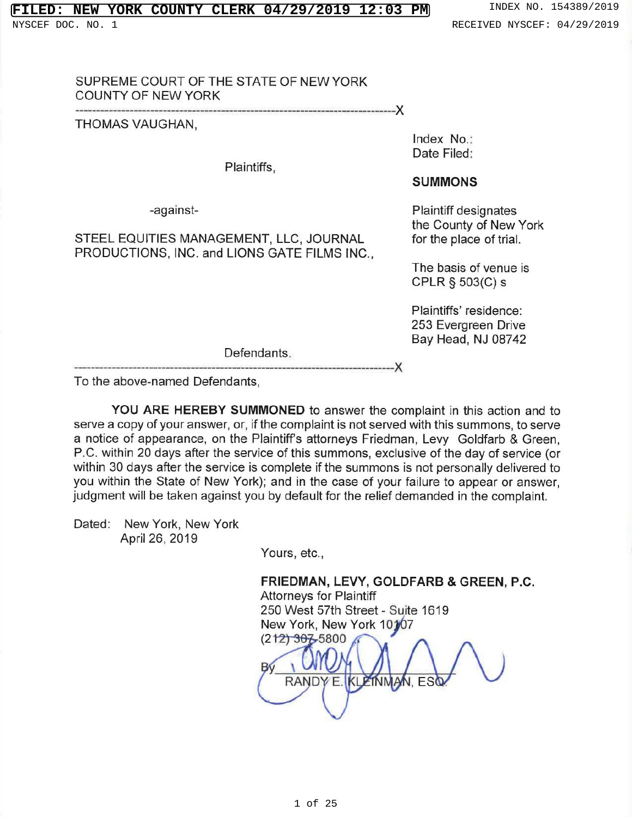# **NEW YORK COUNTY CLERK 04/29/2019 12:03 PM** INDEX NO. 154389/2019

NYSCEF DOC. NO. 1 **RECEIVED NYSCEF: 04/29/2019** 

# SUPREME COURT OF THE STATE OF NEW YORK **COUNTY OF NEW YORK**

THOMAS VAUGHAN,

THOMAS VALUE

supreme court of the state of the state of the state of the state of the state of the state of the state of th

-against-

## STEEL EQUITIES MANAGEMENT, LLC, JOURNAL PRODUCTIONS, INC. and LIONS GATE FILMS INC.,

Index No.: Date Filed:

### **SUMMONS**

**Plaintiff designates** the County of New York for the place of trial.

The basis of venue is  $C$ -LN  $S$  303(C) s

> Plaintiffs' residence: 253 Evergreen Drive<br>Bay Head, NJ 08742

Defendants.

To the above-named Defendants.

YOU ARE HEREBY SUMMONED to answer the complaint in this action and to you within the State of New York); and in the case of your failure to appear or answer, judgment will be taken against you by default for the relief demanded in the complaint.

Dated: New York, New York April 26, 2019

 $Y$  are  $Y$ ,  $Y$  and  $Y$ ,  $Y$ 

# FRIEDMAN, LEVY, GOLDFARB & GREEN, P.C.

 $\mathcal{W}(\mathcal{W})$ 

Attorneys for Plaintiff<br>250 West 57th Street - Suite 1619 New York, New York 10107  $\frac{(212)30755800}{4}$ 

RANDY E. KLEINMAN, ESQ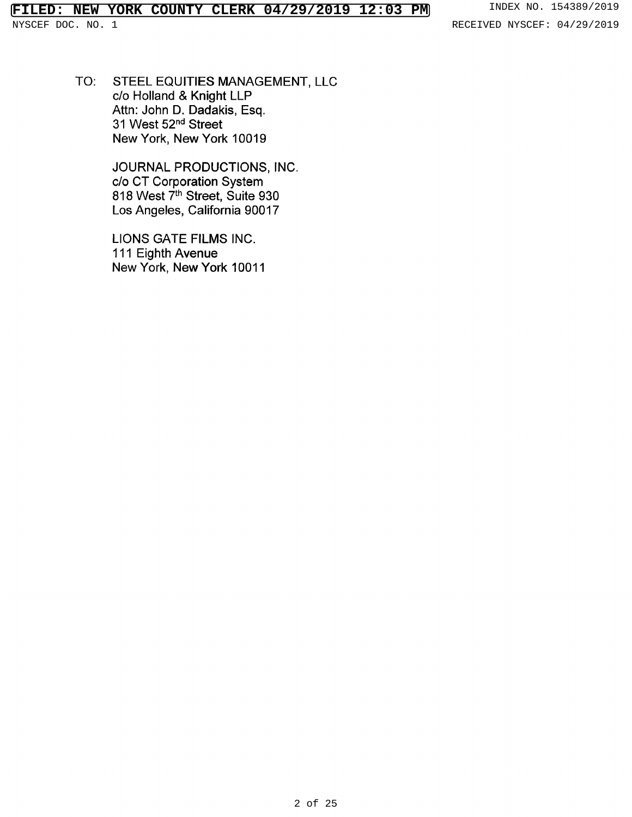NYSCEF DOC. NO. 1 RECEIVED NYSCEF: 04/29/2019

TO: STEEL EQUITIES MANAGEMENT, LLC c/o Holland & Knight LLP Attn: John D. Dadakis, Esq. <sup>31</sup> West 52nd Street New York, New York 10019

> JOURNAL PRODUCTIONS, INC. c/o CT Corporation System 818 West 7<sup>th</sup> Street, Suite 93 Los Angeles, California 90017

LIONS GATE FILMS INC. 111 Eighth Avenue New York, New York 10011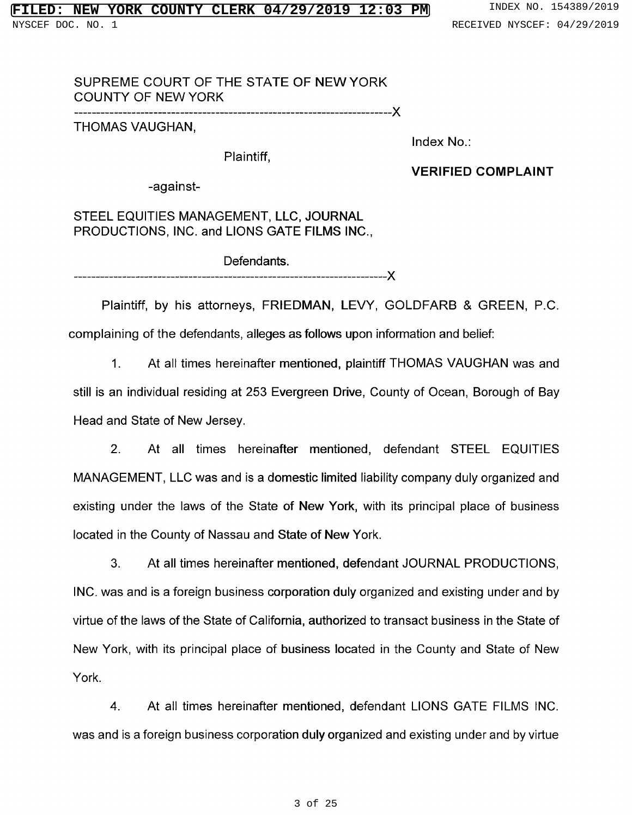# SUPREME COURT OF THE STATE OF NEW YORK COUNTY OF NEW YORK

--------------------------------------------------------X

THOMAS VAUGHAN,

Index No.:

Plaintiff,

VERIFIED COMPLAINT

-against-

STEEL EQUITIES MANAGEMENT, LLC, JOURNAL PRODUCTIONS, INC. and LIONS GATE FILMS INC.,

Defendants. --------------------------------X

Plaintiff, by his attorneys, FRIEDMAN, LEVY, GOLDFARB & GREEN, P.C. complaining of the defendants, alleges as follows upon information and belief:

1. At all times hereinafter mentioned, plaintiff THOMAS VAUGHAN was and still is an individual residing at 253 Evergreen Drive, County of Ocean, Borough of Bay Head and State of New Jersey.

2. At all times hereinafter mentioned, defendant STEEL EQUITIES MANAGEMENT, LLC was and is <sup>a</sup> domestic limited liability company duly organized and existing under the laws of the State of New York, with its principal place of business located in the County of Nassau and State of New York.

3. At all times hereinafter mentioned, defendant JOURNAL PRODUCTIONS, INC. was and is <sup>a</sup> foreign business corporation duly organized and existing under and by virtue of the laws of the State of California, authorized to transact business in the State of New York, with its principal place of business located in the County and State of New York.

4. At all times hereinafter mentioned, defendant LIONS GATE FILMS INC. was and is <sup>a</sup> foreign business corporation duly organized and existing under and by virtue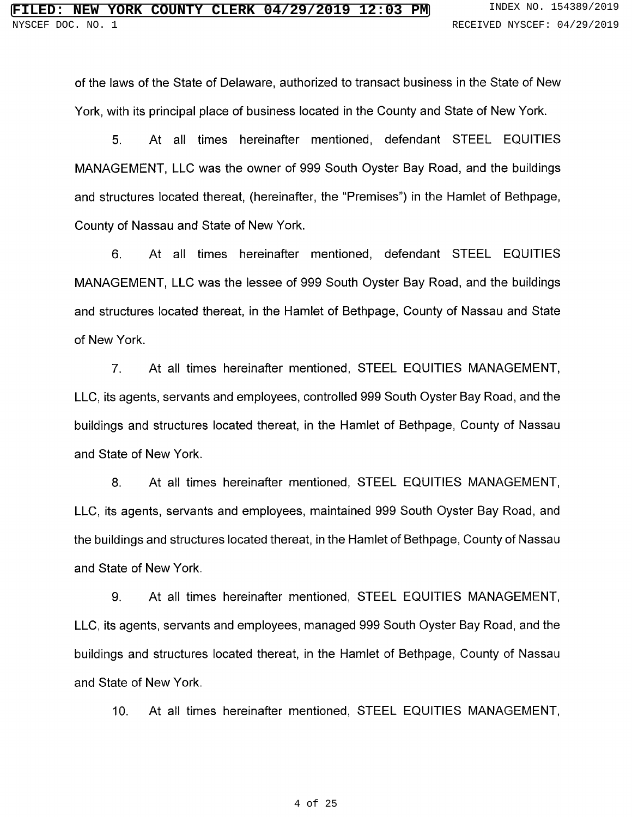of the laws of the State of Delaware, authorized to transact business in the State of New York, with its principal place of business located in the County and State of New York.

5. At all times hereinafter mentioned, defendant STEEL EQUITIES MANAGEMENT, LLC was the owner of 999 South Oyster Bay Road, and the buildings and structures located thereat, (hereinafter, the "Premises") in the Hamlet of Bethpage, County of Nassau and State of New York.

6. At all times hereinafter mentioned, defendant STEEL EQUITIES MANAGEMENT, LLC was the lessee of 999 South Oyster Bay Road, and the buildings and structures located thereat, in the Hamlet of Bethpage, County of Nassau and State of New York.

7. At all times hereinafter mentioned, STEEL EQUITIES MANAGEMENT, LLC, its agents, servants and employees, controlled 999 South Oyster Bay Road, and the buildings and structures located thereat, in the Hamlet of Bethpage, County of Nassau and State of New York.

8. At all times hereinafter mentioned, STEEL EQUITIES MANAGEMENT, LLC, its agents, servants and employees, maintained 999 South Oyster Bay Road, and the buildings and structures located thereat, in the Hamlet of Bethpage, County of Nassau and State of New York.

9. At all times hereinafter mentioned, STEEL EQUITIES MANAGEMENT, LLC, its agents, servants and employees, managed <sup>999</sup> South Oyster Bay Road, and the buildings and structures located thereat, in the Hamlet of Bethpage, County of Nassau and State of New York.

10. At all times hereiñafter mentioned, STEEL EQUITIES MANAGEMENT,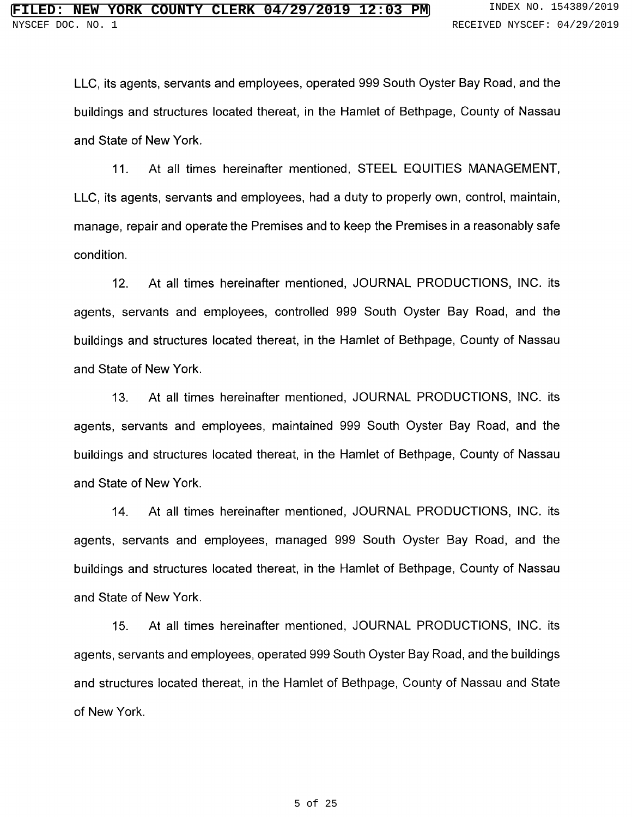LLC, its agents, servants and employees, operated 999 South Oyster Bay Road, and the buildings and structures located thereat, in the Hamlet of Bethpage, County of Nassau and State of New York.

11. At all times hereinafter mentioned, STEEL EQUITIES MANAGEMENT, LLC, its agents, servants and employees, had a duty to properly own, control, maintain, manage, repair and operate the Premises and to keep the Premises in a reasonably safe condition.

12. At all times hereinafter mentioned, JOURNAL PRODUCTIONS, INC. its agents, servants and employees, controlled 999 South Oyster Bay Road, and the buildings and structures located thereat, in the Hamlet of Bethpage, County of Nassau and State of New York.

13. At all times hereinafter mentioned, JOURNAL PRODUCTIONS, INC. its agents, servants and employees, maintained 999 South Oyster Bay Road, and the buildings and structures located thereat, in the Hamlet of Bethpage, County of Nassau and State of New York.

14. At all times hereinafter mentioned, JOURNAL PRODUCTIONS, INC. its agents, servants and employees, managed 999 South Oyster Bay Road, and the buildings and structures !ocated thereat, in the Hamlet of Bethpage, County of Nassau and State of New York.

15. At all times hereinafter mentioned, JOURNAL PRODUCTIONS, INC. its agents, servants and employees, operated 999 South Oyster Bay Road, and the buildings and structures located thereat, in the Hamlet of Bethpage, County of Nassau and State of New York.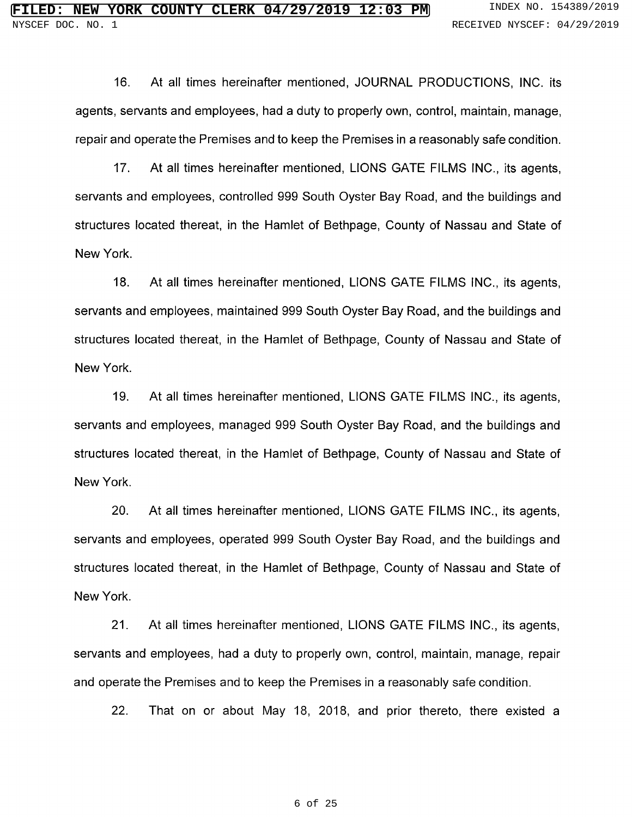16. At all times hereinafter mentioned, JOURNAL PRODUCTIONS, INC. its agents, servants and employees, had a duty to properly own, control, maintain, manage, repair and operate the Premises and to keep the Premises in a reasonably safe condition.

17. At all times hereinafter mentioned, LIONS GATE FILMS INC., its agents, servants and employees, controlled 999 South Oyster Bay Road, and the buildings and structures located thereat, in the Hamlet of Bethpage, County of Nassau and State of New York.

18. At all times hereinafter mentioned, LIONS GATE FILMS INC., its agents, servants and employees, maintained 999 South Oyster Bay Road, and the buildings and structures located thereat, in the Hamlet of Bethpage, County of Nassau and State of New York.

19. At all times hereinafter mentioned, LIONS GATE FILMS INC., its agents, servants and employees, managed <sup>999</sup> South Oyster Bay Road, and the buildings and structures located thereat, in the Hamlet of Bethpage, County of Nassau and State of New York.

20. At all times hereinafter mentioned, LIONS GATE FILMS INC., its agents, servants and employees, operated 999 South Oyster Bay Road, and the buildings and structures located thereat, in the Hamlet of Bethpage, County of Nassau and State of New York.

21. At all times hereinafter mentioned, LIONS GATE FILMS INC., its agents, servants and employees, had a duty to properly own, control, maintain, manage, repair and operate the Premises and to keep the Premises in a reasonably safe condition.

22. That on or about May 18, 2018, and prior thereto, there existed a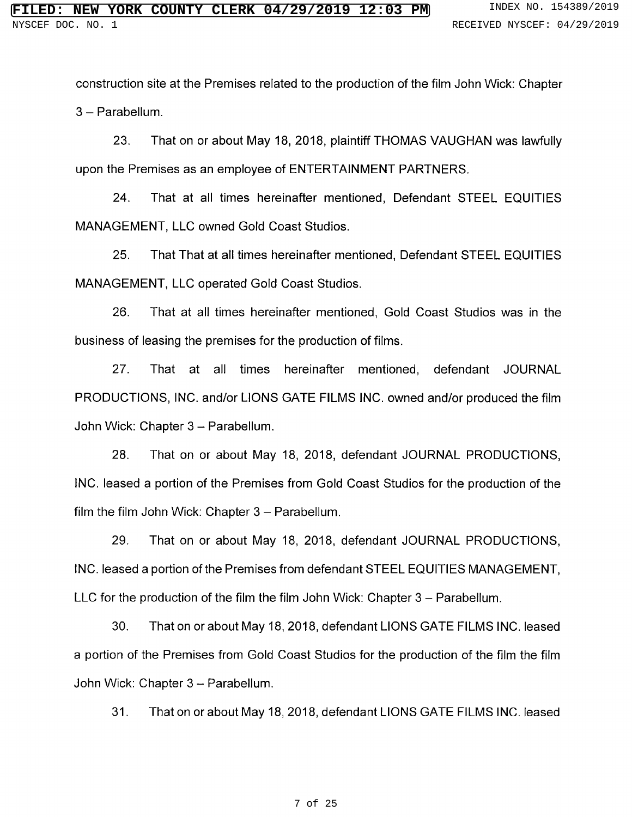construction site at the Premises related to the production of the film John Wick: Chapter 3 – Parabe

23. That on or about May 18, 2018, plaintiff THOMAS VAUGHAN was lawfully upon the Premises as an employee of ENTERTAINMENT PARTNERS.

24. That at all times hereinafter mentioned, Defendant STEEL EQUITIES MANAGEMENT, LLC owned Gold Coast Studios.

25. That That at all times hereinafter mentioned, Defendant STEEL EQUITIES MANAGEMENT, LLC operated Gold Coast Studios.

26. That at all times hereinafter mentioned, Gold Coast Studios was in the business of leasing the premises for the production of films.

27. That at all times hereinafter mentioned, defendant JOURNAL PRODUCTIONS, INC. and/or LIONS GATE FILMS INC. owned and/or produced the film John Wick: Chapter 3 – Parabe

28. That on or about May 18, 2018, defendant JOURNAL PRODUCTIONS, INC. !eased a portion of the Premises from Gold Coast Studios for the production of the film the film John Wick: Chapter 3 – Parabe

29. That on or about May 18, 2018, defendant JOURNAL PRODUCTIONS, INC. leased a portion of the Premises from defendant STEEL EQUITIES MANAGEMENT, LLC for the production of the film the film John Wick: Chapter 3 – Parabe

30. That on or about May 18, 2018, defendant LIONS GATE FILMS INC. leased a portion of the Premises from Gold Coast Studios for the production of the film the film John Wick: Chapter 3 – Parabe

31. That on or about May 18, 2018, defendant LIONS GATE FILMS INC. leased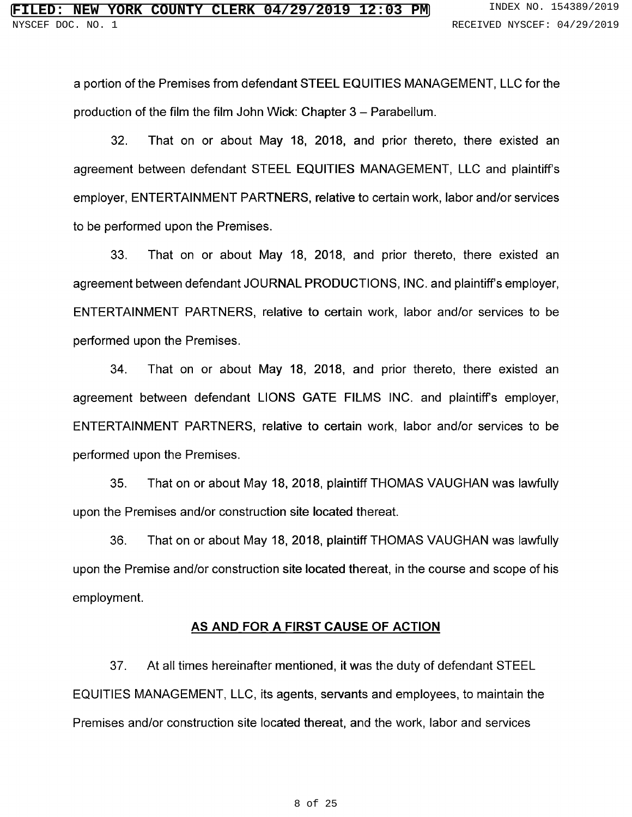<sup>a</sup> portion of the Premises from defendant STEEL EQ UITIES MANAGEMENT, LLC for the production of the film the film John Wick: Chapter 3 – Parabe

32. That on or about May 18, 2018, and prior thereto, there existed an agreement between defendant STEEL EQUITIES MANAGEMENT, LLC and plaintiff's employer, ENTERTAINMENT PARTNERS, relative to certain work, labor and/or services to be performed upon the Premises.

33. That on or about May 18, 2018, and prior thereto, there existed an agreement between defendant JOURNAL PRODUCTIONS, INC. and plaintiff's employer, ENTERTAINMENT PARTNERS, relative to certain work, labor and/or services to be performed upon the Premises.

34. That on or about May 18, 2018, and prior thereto, there existed an agreement between defendant LIONS GATE FILMS INC. and plaintiff's employer, ENTERTAINMENT PARTNERS, relative to certain work, labor and/or services to be performed upon the Premises.

35. That on or about May 18, 2018, plaintiff THOMAS VAUGHAN was lawfully upon the Premises and/or construction site located thereat.

36. That on or about May 18, 2018, plaintiff THOMAS VAUGHAN was lawfully upon the Premise and/or construction site located thereat, in the course and scope of his employment.

### AS AND FOR A FIRST CAUSE OF ACTION

37. At all times hereinafter mentioned, it was the duty of defendant STEEL EQ UITIES MANAGEMENT, LLC, its agents, servants and employees, to maintain the Premises and/or construction site located thereat, and the work, labor and services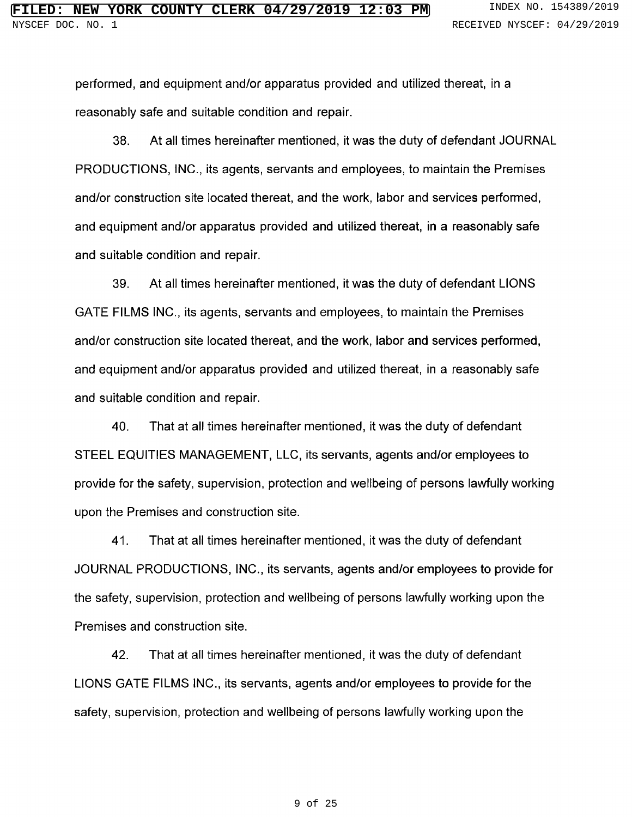performed, and equipment and/or apparatus provided and utilized thereat, in a reasonably safe and suitable condition and repair.

38. At all times hereinafter mentioned, it was the duty of defendant JOURNAL PRODUCTIONS, INC., its agents, servants and employees, to maintain the Premises and/or construction site located thereat, and the work, labor and services performed, and equipment and/or apparatus provided and utilized thereat, in a reasonably safe and suitable condition and repair.

39. At all times hereinafter mentioned, it was the duty of defendant LIONS GATE FILMS INC., its agents, servants and employees, to maintain the Premises and/or construction site located thereat, and the work, labor and services performed, and equipment and/or apparatus provided and utilized thereat, in a reasonably safe and suitable condition and repair.

40. That at all times hereinafter mentioned, it was the duty of defendant STEEL EQUITIES MANAGEMENT, LLC, its servants, agents and/or employees to provide for the safety, supervision, protection and wellbeing of persons lawfully working upon the Premises and construction site.

41. That at all times hereinafter mentioned, it was the duty of defendant JOURNAL PRODUCTIONS, INC., its servants, agents and/or employees to provide for the safety, supervision, protection and wellbeing of persons lawfully working upon the Premises and construction site.

42. That at all times hereinafter mentioned, it was the duty of defendant LIONS GATE FILMS INC., its servants, agents and/or employees to provide for the safety, supervision, protection and wellbeing of persons lawfully working upon the

#### 9 of 25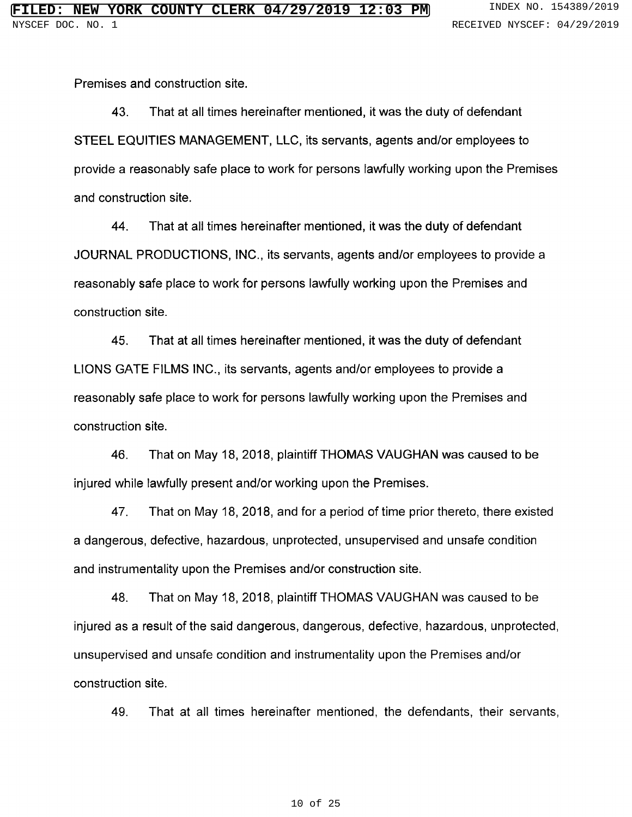Premises and construction site.

43. That at all times hereinafter mentioned, it was the duty of defendant STEEL EQUITIES MANAGEMENT, LLC, its servants, agents and/or employees to provide a reasonably safe place to work for persons lawfully working upon the Premises and construction site.

44. That at all times hereinafter mentioned, it was the duty of defendant JOURNAL PRODUCTIONS, INC., its servants, agents and/or employees to provide a reasonably safe place to work for persons lawfully working upon the Premises and construction site.

45. That at all times hereinafter mentioned, it was the duty of defendant LIONS GATE FILMS INC., its servants, agents and/or employees to provide a reasonably safe place to work for persons lawfully working upon the Premises and construction site.

46. That on May 18, 2018, plaintiff THOMAS VAUGHAN was caused to be injured while lawfully present and/or working upon the Premises.

47. That on May 18, 2018, and for a period of time prior thereto, there existed a dangerous, defective, hazardous, unprotected, unsupervised and unsafe condition and instrumentality upon the Premises and/or construction site.

48. That on May 18, 2018, plaintiff THOMAS VAUGHAN was caused to be injured as a result of the said dangerous, dangerous, defective, hazardous, unprotected, unsupervised and unsafe condition and instrumentality upon the Premises and/or construction site.

49. That at all times hereinafter mentioned, the defendants, their servants,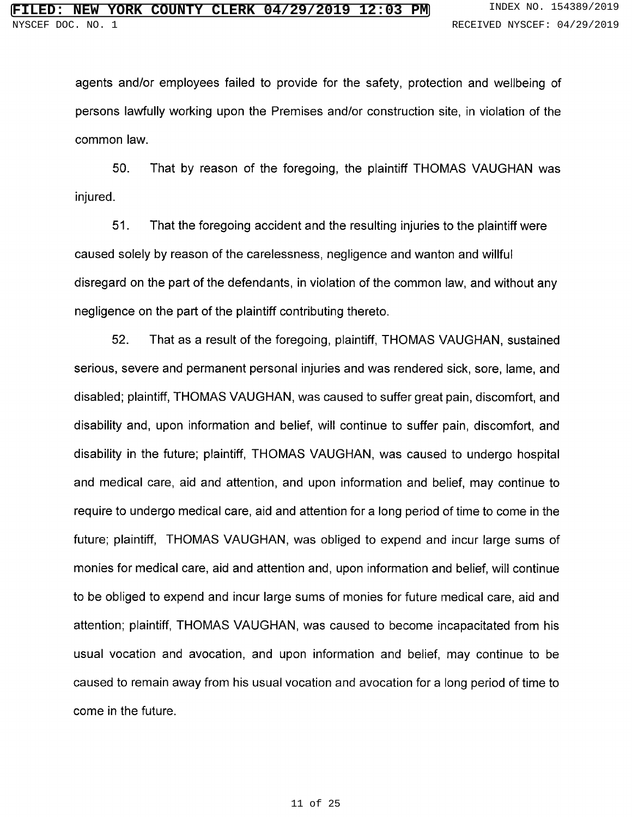agents and/or employees failed to provide for the safety, protection and wellbeing of persons lawfully working upon the Premises and/or construction site, in violation of the common law.

50. That by reason of the foregoing, the plaintiff THOMAS VAUGHAN was injured.

51. That the foregoing accident and the resulting injuries to the plaintiff were caused solely by reason of the carelessness, negligence and wanton and willful disregard on the part of the defendants, in violation of the common law, and without any negligence on the part of the plaintiff contributing thereto.

52. That as <sup>a</sup> result of the foregoing, plaintiff, THOMAS VAUGHAN, sustained serious, severe and permanent personal injuries and was rendered sick, sore, lame, and disabled; plaintiff, THOMAS VAUGHAN, was caused to suffer great pain, discomfort, and disability and, upon information and belief, will continue to suffer pain, discomfort, and disability in the future; plaintiff, THOMAS VAUGHAN, was caused to undergo hospita! and medical care, aid and attention, and upon information and belief, may continue to require to undergo medical care, aid and attention for a long period of time to come in the future; plaintiff, THOMAS VAUGHAN, was obliged to expend and incur large sums of monies for medical care, aid and attention and, upon information and belief, will continue to be obliged to expend and incur large sums of monies for future medical care, aid and attention; plaintiff, THOMAS VAUGHAN, was caused to become incapacitated from his usual vocation and avocation, and upon information and belief, may continue to be caused to remain away from his usual vocation and avocation for a long period of time to come in the future.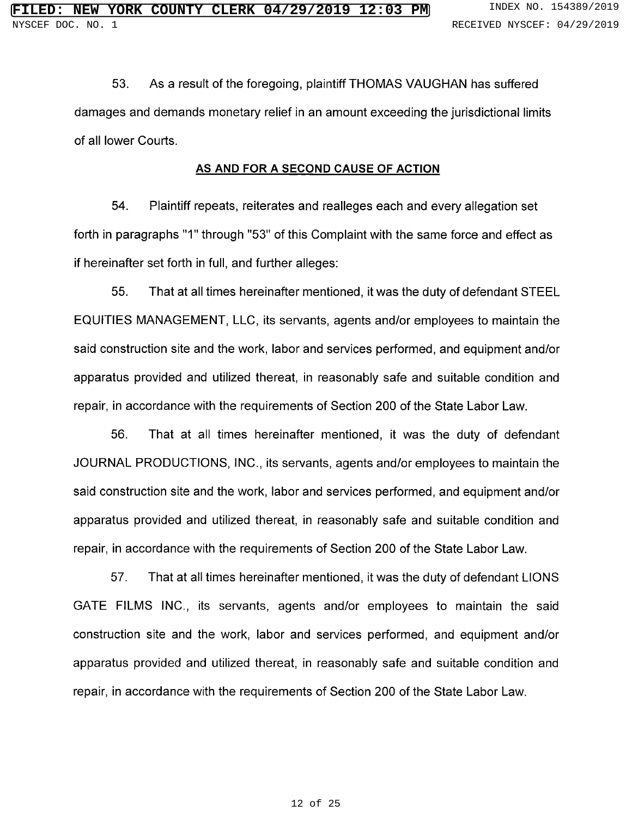53. As <sup>a</sup> result of the foregoing, plaintiff THOMAS VAUGHAN has suffered damages and demands monetary relief in an amount exceeding the jurisdictional limits of all lower Courts.

### AS AND FOR A SECOND CAUSE OF ACTION

54. Plaintiff repeats, reiterates and realleges each and every allegation set forth in paragraphs "1" through "53" of this Complaint with the same force and effect a if hereinafter set forth in full, and further alleges:

55. That at all times hereinafter mentioned, it was the duty of defendant STEEL EQUITIES MANAGEMENT, LLC, its servants, agents and/or employees to maintain the said construction site and the work, labor and services performed, and equipment and/or apparatus provided and utilized thereat, in reasonably safe and suitable condition and repair, in accordance with the requirements of Section 200 of the State Labor Law.

56. That at all times hereinafter mentioned, it was the duty of defendant JOURNAL PRODUCTIONS, INC., its servants, agents and/or employees to maintain the said construction site and the work, labor and services performed, and equipment and/or apparatus provided and utilized thereat, in reasonably safe and suitable condition and repair, in accordance with the requirements of Section 200 of the State Labor Law.

57. That at all times hereinafter mentioned, it was the duty of defendant LIONS GATE FILMS INC., its servants, agents and/or employees to maintain the said construction site and the work, labor and services performed, and equipment and/or apparatus provided and utilized thereat, in reasonably safe and suitable condition and repair, in accordance with the requirements of Section 200 of the State Labor Law.

#### 12 of 25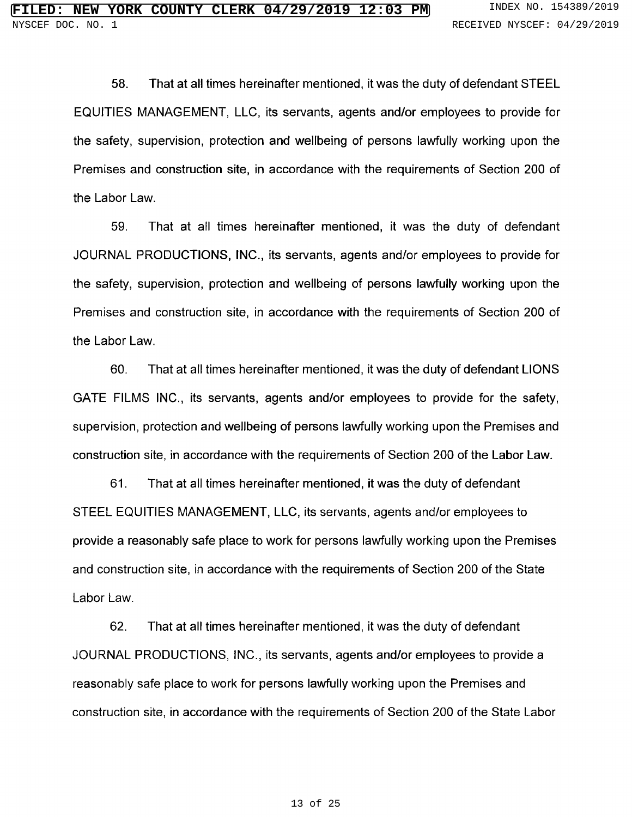58. That at all times hereinafter mentioned, it was the duty of defendant STEEL EQUITIES MANAGEMENT, LLC, its servants, agents and/or employees to provide for the safety, supervision, protection and wellbeing of persons lawfully working upon the Premises and construction site, in accordance with the requirements of Section 200 of the Labor Law.

59. That at all times hereinafter mentioned, it was the duty of defendant JOURNAL PRODUCTIONS, INC., its servants, agents and/or employees to provide for the safety, supervision, protection and wellbeing of persons lawfully working upon the Premises and construction site, in accordance with the requirements of Section 200 of the Labor Law.

60. That at all times hereinafter mentioned, it was the duty of defendant LIONS GATE FILMS INC., its servants, agents and/or employees to provide for the safety, supervision, protection and wellbeing of persons lawfully working upon the Premises and construction site, in accordance with the requirements of Section 200 of the Labor Law.

61. That at all times hereinafter mentioned, it was the duty of defendant STEEL EQUITIES MANAGEMENT, LLC, its servants, agents and/or employees to provide a reasonably safe place to work for persons lawfully working upon the Premises and construction site, in accordance with the requirements of Section 200 of the State Labor Law.

62. That at all times hereiñafter mentioned, it was the duty of defendant JOURNAL PRODUCTIONS, INC., its servants, agents and/or employees to provide a reasonably safe place to work for persons lawfully working upon the Premises and construction site, in accordance with the requirements of Section 200 of the State Labor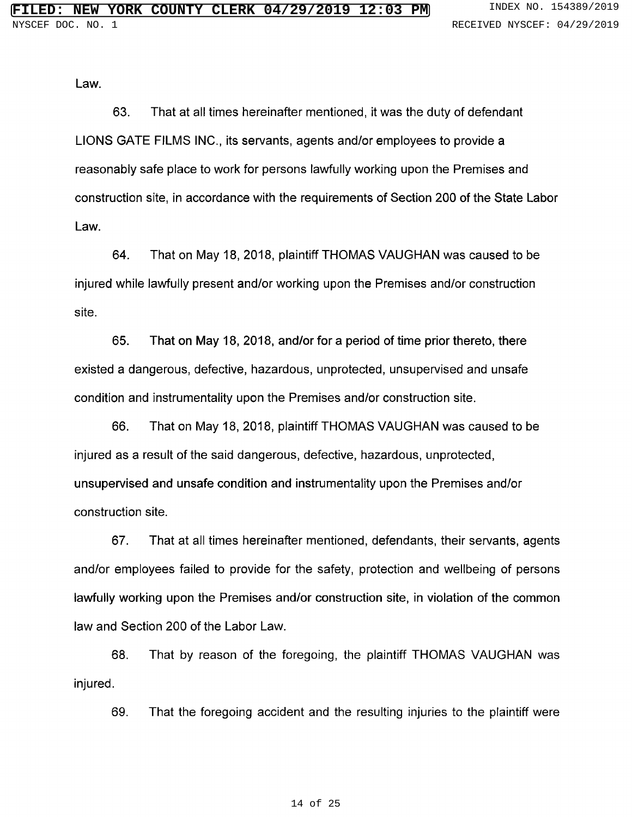Law.

63. That at all times hereinafter mentioned, it was the duty of defendant LIONS GATE FILMS INC., its servants, agents and/or employees to provide a reasonably safe place to work for persons lawfully working upon the Premises and construction site, in accordance with the requirements of Section 200 of the State Labor Law.

64. That on May 18, 2018, plaintiff THOMAS VAUGHAN was caused to be injured while lawfully present and/or working upon the Premises and/or construction site.

65. That on May 18, 2018, and/or for a period of time prior thereto, there existed a dangerous, defective, hazardous, unprotected, unsupervised and unsafe condition and instrumentality upon the Premises and/or construction site.

66. That on May 18, 2018, plaintiff THOMAS VAUGHAN was caused to be injured as a result of the said dangerous, defective, hazardous, unprotected, unsupervised and unsafe condition and instrumentality upon the Premises and/or construction site.

67. That at all times hereinafter mentioned, defendants, their servants, agents and/or employees failed to provide for the safety, protection and wellbeing of persons lawfully working upon the Premises and/or construction site, in violation of the common law and Section 200 of the Labor Law.

68. That by reason of the foregoing, the plaintiff THOMAS VAUGHAN was injured.

69. That the foregoing accident and the resulting injuries to the plaintiff were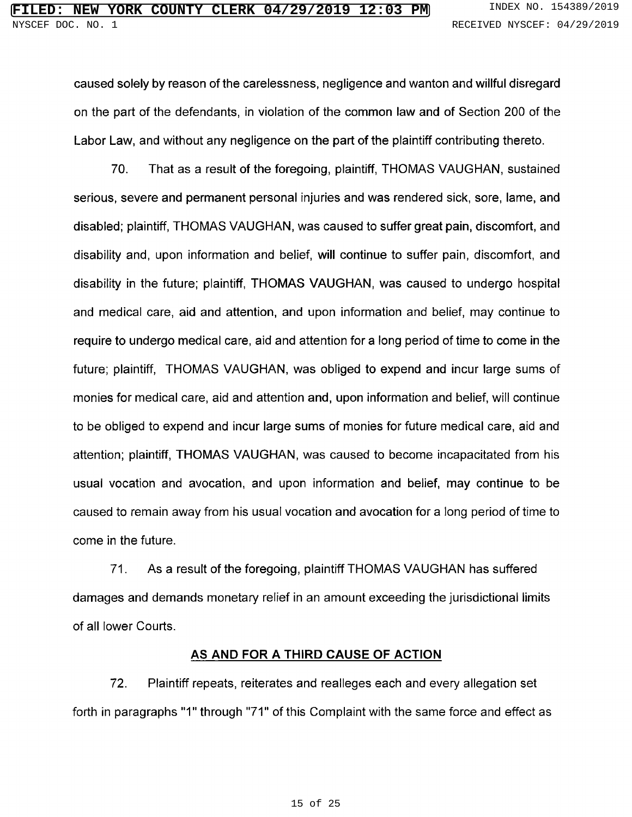caused solely by reason of the carelessness, negligence and wanton and willful disregard on the part of the defendants, in violation of the common law and of Section 200 of the Labor Law, and without any negligence on the part of the plaintiff contributing thereto.

70. That as <sup>a</sup> result of the foregoing, plaintiff, THOMAS VAUGHAN, sustained serious, severe and permanent personal injuries and was rendered sick, sore, lame, and disabled; plaintiff, THOMAS VAUGHAN, was caused to suffer great pain, discomfort, and disability and, upon information and belief, will continue to suffer pain, discomfort, and disability in the future; plaintiff, THOMAS VAUGHAN, was caused to undergo hospital and medical care, aid and attention, and upon information and belief, may continue to require to undergo medical care, aid and attention for <sup>a</sup> long period of time to come in the future; plaintiff, THOMAS VAUGHAN, was obliged to expend and incur large sums of monies for medical care, aid and attention and, upon information and belief, will continue to be obliged to expend and incur large sums of monies for future medical care, aid and attention; plaintiff, THOMAS VAUGHAN, was caused to become incapacitated from his usual vocation and avocation, and upon information and belief, may continue to be caused to remain away from his usual vocation and avocation for a long period of time to come in the future.

71. As <sup>a</sup> result of the foregoing, plaintiff THOMAS VAUGHAN has suffered damages and demands monetary relief in an amount exceeding the jurisdictional limits of all lower Courts.

### AS AND FOR A THIRD CAUSE OF ACTION

72. Plaintiff repeats, reiterates and realleges each and every allegation set forth in paragraphs "1" through "71" of this Complaint with the same force and effect a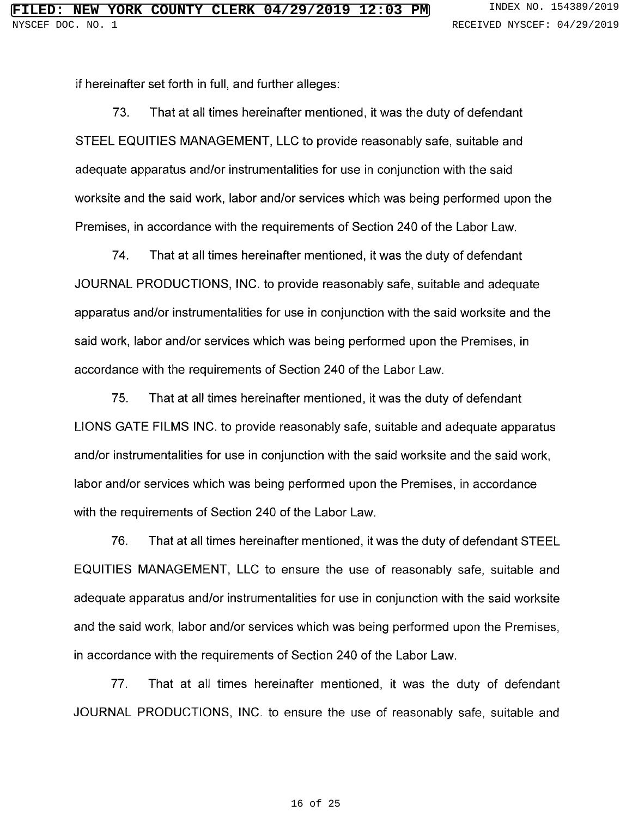if hereinafter set forth in full, and further alleges:

73. That at all times hereinafter mentioned, it was the duty of defendant STEEL EQUITIES MANAGEMENT, LLC to provide reasonably safe, suitable and adequate apparatus and/or instrumentalities for use in conjunction with the said worksite and the said work, labor and/or services which was being performed upon the Premises, in accordance with the requirements of Section 240 of the Labor Law.

74. That at all times hereinafter mentioned, it was the duty of defendant JOURNAL PRODUCTIONS, INC. to provide reasonably safe, suitable and adequate apparatus and/or instrumentalities for use in conjunction with the said worksite and the said work, labor and/or services which was being performed upon the Premises, in accordance with the requirements of Section 240 of the Labor Law.

75. That at all times hereinafter mentioned, it was the duty of defendant LIONS GATE FILMS INC. to provide reasonably safe, suitable and adequate apparatus and/or instrumentalities for use in conjunction with the said worksite and the said work, labor and/or services which was being performed upon the Premises, in accordance with the requirements of Section 240 of the Labor Law.

76. That at all times hereinafter mentioned, it was the duty of defendant STEEL EQUITIES MANAGEMENT, LLC to ensure the use of reasonably safe, suitable and adequate apparatus and/or instrumentalities for use in conjunction with the said worksite and the said work, labor and/or services which was being performed upon the Premises, in accordance with the requirements of Section 240 of the Labor Law.

77. That at all times hereinafter mentioned, it was the duty of defendant JOURNAL PRODUCTIONS, INC. to ensure the use of reasonably safe, suitable and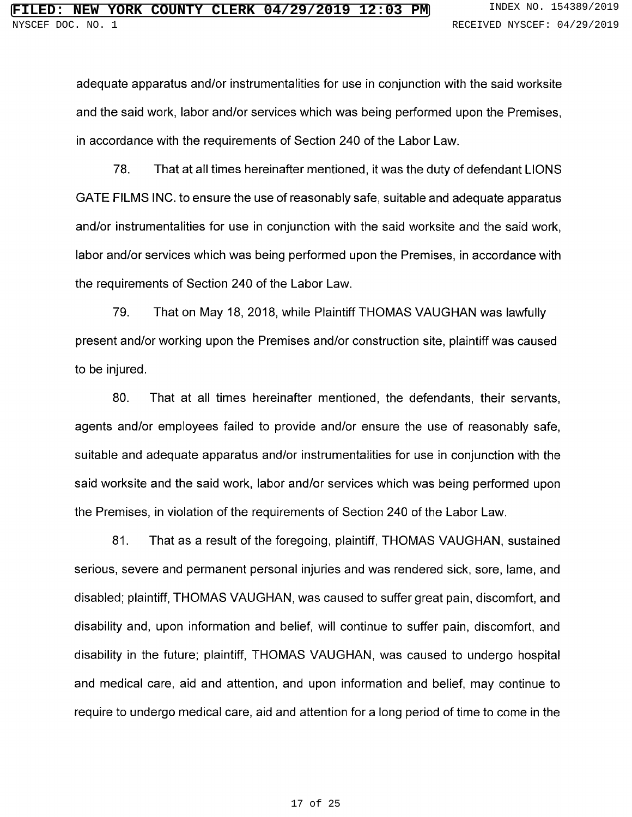adequate apparatus and/or instrumentalities for use in conjunction with the said worksite and the said work, labor and/or services which was being performed upon the Premises, in accordance with the requirements of Section 240 of the Labor Law.

78. That at all times hereinafter mentioned, it was the duty of defendant LIONS GATE FILMS INC. to ensure the use of reasonably safe, suitable and adequate apparatus and/or instrumentalities for use in conjunction with the said worksite and the said work, labor and/or services which was being performed upon the Premises, in accordance with the requirements of Section 240 of the Labor Law.

79. That on May 18, 2018, while Plaintiff THOMAS VAUGHAN was lawfully present and/or working upon the Premises and/or construction site, plaintiff was caused to be injured.

80. That at all times hereinafter mentioned, the defendants, their servants, agents and/or employees failed to provide and/or ensure the use of reasonably safe, suitable and adequate apparatus and/or instrumentalities for use in conjunction with the said worksite and the said work, labor and/or services which was being performed upon the Premises, in violation of the requirements of Section 240 of the Labor Law.

81. That as <sup>a</sup> result of the foregoing, plaintiff, THOMAS VAUGHAN, sustained serious, severe and permanent personal injuries and was rendered sick, sore, lame, and disabled; plaintiff, THOMAS VAUGHAN, was caused to suffer great pain, discomfort, and disability and, upon information and belief, will continue to suffer pain, discomfort, and disability in the future; plaintiff, THOMAS VAUGHAN, was caused to undergo hospita! and medical care, aid and attention, and upon information and belief, may continue to require to undergo medical care, aid and attention for a long period of time to come in the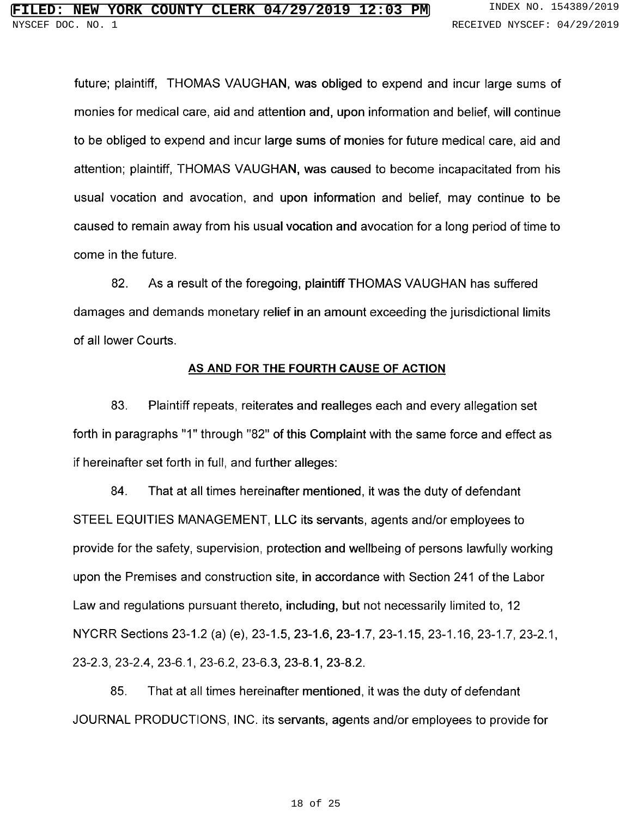future; plaintiff, THOMAS VAUGHAN, was obliged to expend and incur large sums of monies for medica! care, aid and attention and, upon information and belief, will continue to be obliged to expend and incur large sums of monies for future medical care, aid and attention; plaintiff, THOMAS VAUGHAN, was caused to become incapacitated from his usual vocation and avocation, and upon information and belief, may continue to be caused to remain away from his usual vocation and avocation for a long period of time to come in the future.

82. As <sup>a</sup> result of the foregoing, plaintiff THOMAS VAUGHAN has suffered damages and demands monetary relief in an amount exceeding the jurisdictional limits of all lower Courts.

#### AS AND FOR THE FOURTH CAUSE OF ACTION

83. Plaintiff repeats, reiterates and realleges each and every allegation set forth in paragraphs "1" through "82" of this Complaint with the same force and effect a if hereinafter set forth in full, and further alleges:

84. That at all times hereinafter mentioned, it was the duty of defendant STEEL EQUITIES MANAGEMENT, LLC its servants, agents and/or employees to provide for the safety, supervision, protection and wellbeing of persons lawfully working upon the Premises and construction site, in accordance with Section 241 of the Labor Law and regulations pursuant thereto, including, but not necessarily limited to, 12 NYCRR Sections 23-1.2 (a) (e), 23-1.5, 23-1.6, 23-1.7, 23-1.15, 23-1.16, 23-1.7, 23-2.1, 23-2.3, 23-2.4, 23-6.1, 23-6.2, 23-6.3, 23-8.1, 23-8.2.

85. That at all times hereinafter mentioned, it was the duty of defendant JOURNAL PRODUCTIONS, INC. its servants, agents and/or employees to provide for

#### 18 of 25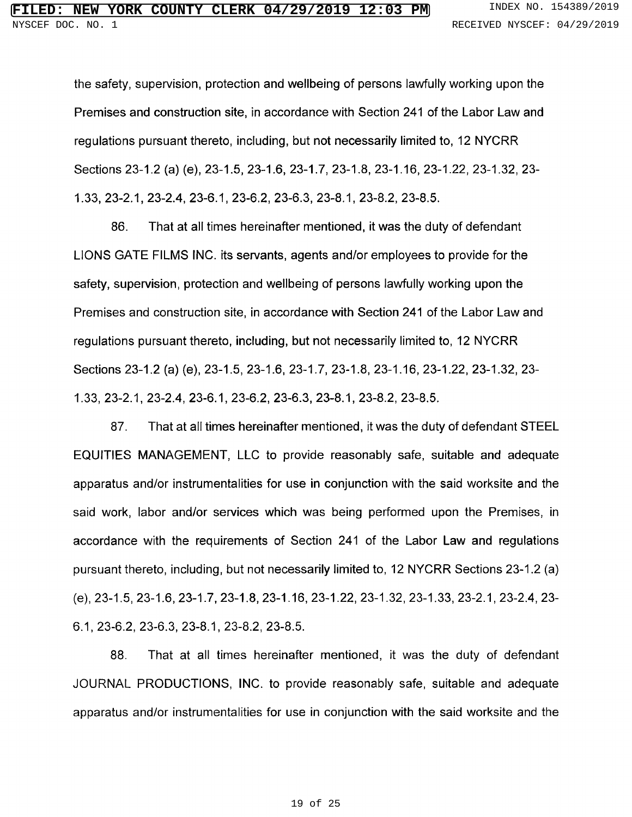the safety, supervision, protection and wellbeing of persons lawfully working upon the Premises and construction site, in accordance with Section 241 of the Labor Law and regulations pursuant thereto, including, but not necessarily limited to, <sup>12</sup> NYCRR Sections 23-1.2 (a) (e), 23-1.5, 23-1.6, 23-1.7, 23-1.8, 23-1.16, 23-1.22, 23-1.32, 23- 1.33, 23-2.1, 23-2.4, 23-6.1, 23-6.2, 23-6.3, 23-8.1, 23-8.2, 23-8.5.

86. That at all times hereinafter mentioned, it was the duty of defendant LIONS GATE FILMS INC. its servants, agents and/or employees to provide for the safety, supervision, protection and wellbeing of persons lawfully working upon the Premises and construction site, in accordance with Section 241 of the Labor Law and regulations pursuant thereto, including, but not necessarily limited to, <sup>12</sup> NYCRR Sections 23-1.2 (a) (e), 23-1.5, 23-1.6, 23-1.7, 23-1.8, 23-1.16, 23-1.22, 23-1.32, 23- 1.33, 23-2.1, 23-2.4, 23-6.1, 23-6.2, 23-6.3, 23-8.1, 23-8.2, 23-8.5.

87. That at all times hereinafter mentioned, it was the duty of defendant STEEL EQUITIES MANAGEMENT, LLC to provide reasonably safe, suitable and adequate apparatus and/or instrumentalities for use in conjunction with the said worksite and the said work, labor and/or services which was being performed upon the Premises, in accordance with the requirements of Section 241 of the Labor Law and regulations pursuant thereto, including, but not necessarily limited to, <sup>12</sup> NYCRR Sections 23-1.2 (a) (e), 23-1.5, 23-1.6, 23-1.7, 23-1.8, 23-1.16, 23-1.22, 23-1.32, 23-1.33, 23-2.1, 23-2.4, 23- 6.1, 23-6.2, 23-6.3, 23-8.1, 23-8.2, 23-8.5.

88. That at all times hereinafter mentioned, it was the duty of defendant JOURNAL PRODUCTIONS, INC. to provide reasonably safe, suitable and adequate apparatus and/or instrumentalities for use in conjunction with the said worksite and the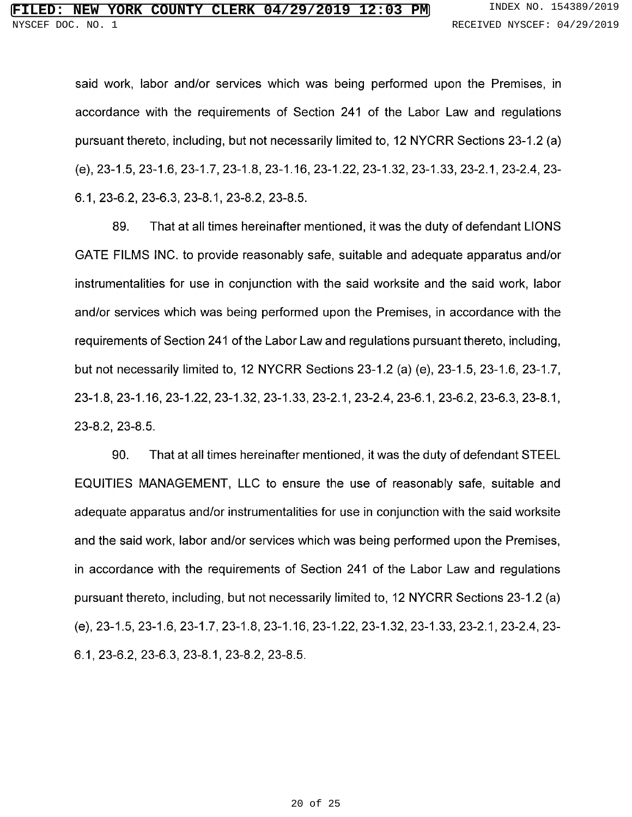said work, labor and/or services which was being performed upon the Premises, in accordance with the requirements of Section 241 of the Labor Law and regulations pursuant thereto, including, but not necessarily limited to, <sup>12</sup> NYCRR Sections 23-1.2 (a) (e), 23-1.5, 23-1.6, 23-1.7, 23-1.8, 23-1.16, 23-1.22, 23-1.32, 23-1.33, 23-2.1, 23-2.4, 23- 6.1, 23-6.2, 23-6.3, 23-8.1, 23-8.2, 23-8.5.

89. That at all times hereinafter mentioned, it was the duty of defendant LIONS GATE FILMS INC. to provide reasonably safe, suitable and adequate apparatus and/or instrumentalities for use in conjunction with the said worksite and the said work, labor and/or services which was being performed upon the Premises, in accordance with the requirements of Section 241 of the Labor Law and regulations pursuant thereto, including, but not necessarily limited to, <sup>12</sup> NYCRR Sections 23-1.2 (a) (e), 23-1.5, 23-1.6, 23-1.7, 23-1.8, 23-1.16, 23-1.22, 23-1.32, 23-1.33, 23-2.1, 23-2.4, 23-6.1, 23-6.2, 23-6.3, 23-8.1, 23-8.2, 23-8.5.

90. That at all times hereinafter mentioned, it was the duty of defendant STEEL EQ UITIES MANAGEMENT, LLC to ensure the use of reasonably safe, suitable and adequate apparatus and/or instrumentalities for use in conjunction with the said worksite and the said work, labor and/or services which was being performed upon the Premises, in accordance with the requirements of Section 241 of the Labor Law and regulations pursuant thereto, including, but not necessarily limited to, <sup>12</sup> NYCRR Sections 23-1.2 (a) (e), 23-1.5, 23-1.6, 23-1.7, 23-1.8, 23-1.16, 23-1.22, 23-1.32, 23-1.33, 23-2.1, 23-2.4, 23- 6.1, 23-6.2, 23-6.3, 23-8.1, 23-8.2, 23-8.5.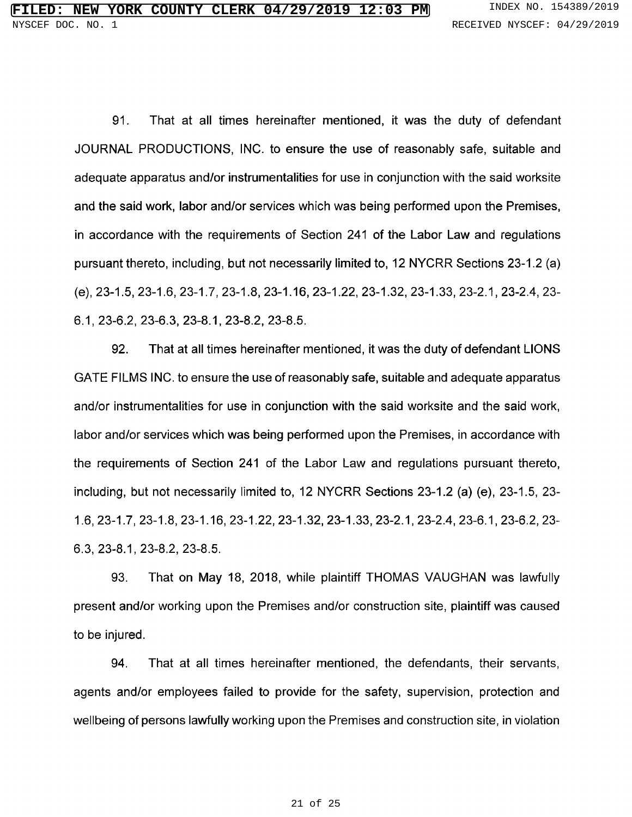91. That at all times hereinafter mentioned, it was the duty of defendant JOURNAL PRODUCTIONS, INC. to ensure the use of reasonably safe, suitable and adequate apparatus and/or instrumentalities for use in conjunction with the said worksite and the said work, labor and/or services which was being performed upon the Premises, in accordance with the requirements of Section 241 of the Labor Law and regulations pursuant thereto, including, but not necessarily limited to, <sup>12</sup> NYCRR Sections 23-1.2 (a) (e), 23-1.5, 23-1.6, 23-1.7, 23-1.8, 23-1.16, 23-1.22, 23-1.32, 23-1.33, 23-2.1, 23-2.4, 23- 6.1, 23-6.2, 23-6.3, 23-8.1, 23-8.2, 23-8.5.

92. That at all times hereinafter mentioned, it was the duty of defendant LIONS GATE FILMS INC. to ensure the use of reasonably safe, suitable and adequate apparatus and/or instrumentalities for use in conjunction with the said worksite and the said work, labor and/or services which was being performed upon the Premises, in accordance with the requirements of Section 241 of the Labor Law and regulations pursuant thereto, including, but not necessarily limited to, <sup>12</sup> NYCRR Sections 23-1.2 (a) (e), 23-1.5, 23- 1.6, 23-1.7, 23-1.8, 23-1.16, 23-1.22, 23-1.32, 23-1.33, 23-2.1, 23-2.4, 23-6.1, 23-6.2, 23- 6.3, 23-8.1, 23-8.2, 23-8.5.

93. That on May 18, 2018, while plaintiff THOMAS VAUGHAN was lawfully present and/or working upon the Premises and/or construction site, plaintiff was caused to be injured.

94. That at all times hereinafter mentioned, the defendants, their servants, agents and/or employees failed to provide for the safety, supervision, protection and wellbeing of persons lawfully working upon the Premises and construction site, in violation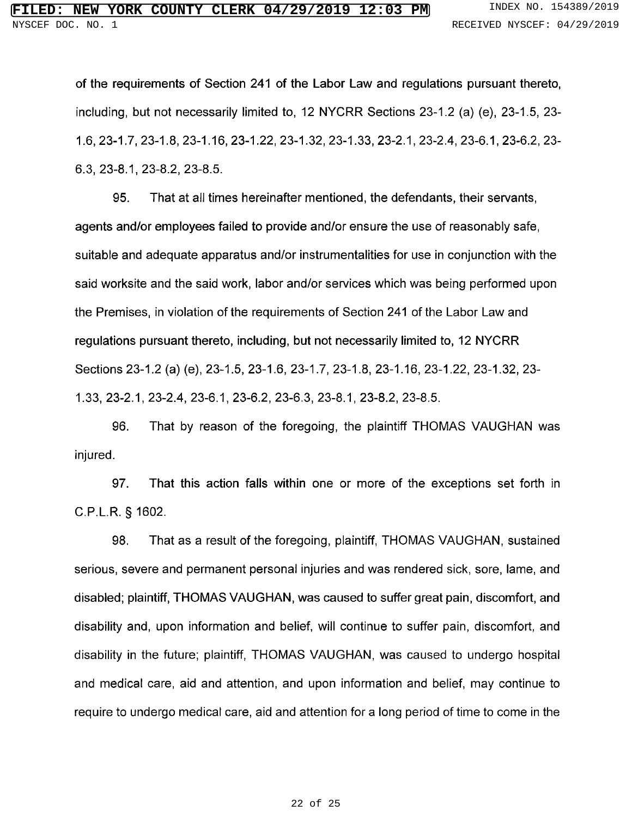of the requirements of Section 241 of the Labor Law and regulations pursuant thereto, including, but not necessarily limited to, <sup>12</sup> NYCRR Sections 23-1.2 (a) (e), 23-1.5, 23- 1.6, 23-1.7, 23-1.8, 23-1.16, 23-1.22, 23-1.32, 23-1.33, 23-2.1, 23-2.4, 23-6.1, 23-6.2, 23- 6.3, 23-8.1, 23-8.2, 23-8.5.

95. That at all times hereinafter mentioned, the defendants, their servants, agents and/or employees failed to provide and/or ensure the use of reasonably safe, suitable and adequate apparatus and/or instrumentalities for use in conjunction with the said worksite and the said work, labor and/or services which was being performed upon the Premises, in violation of the requirements of Section 241 of the Labor Law and regulations pursuant thereto, including, but not necessarily limited to, <sup>12</sup> NYCRR Sections 23-1.2 (a) (e), 23-1.5, 23-1.6, 23-1.7, 23-1.8, 23-1.16, 23-1.22, 23-1.32, 23- 1.33, 23-2.1, 23-2.4, 23-6.1, 23-6.2, 23-6.3, 23-8.1, 23-8.2, 23-8.5.

96. That by reason of the foregoing, the plaintiff THOMAS VAUGHAN was injured.

97. That this action falls within one or more of the exceptions set forth in C.P.L.R. § 1602.

98. That as <sup>a</sup> result of the foregoing, plaintiff, THOMAS VAUGHAN, sustained serious, severe and permanent personal injuries and was rendered sick, sore, lame, and disabled; plaintiff, THOMAS VAUGHAN, was caused to suffer great pain, discomfort, and disability and, upon information and belief, will continue to suffer pain, discomfort, and disability in the future; plaintiff, THOMAS VAUGHAN, was caused to undergo hospital and medical care, aid and attention, and upon information and belief, may continue to require to undergo medical care, aid and attention for <sup>a</sup> long period of time to come in the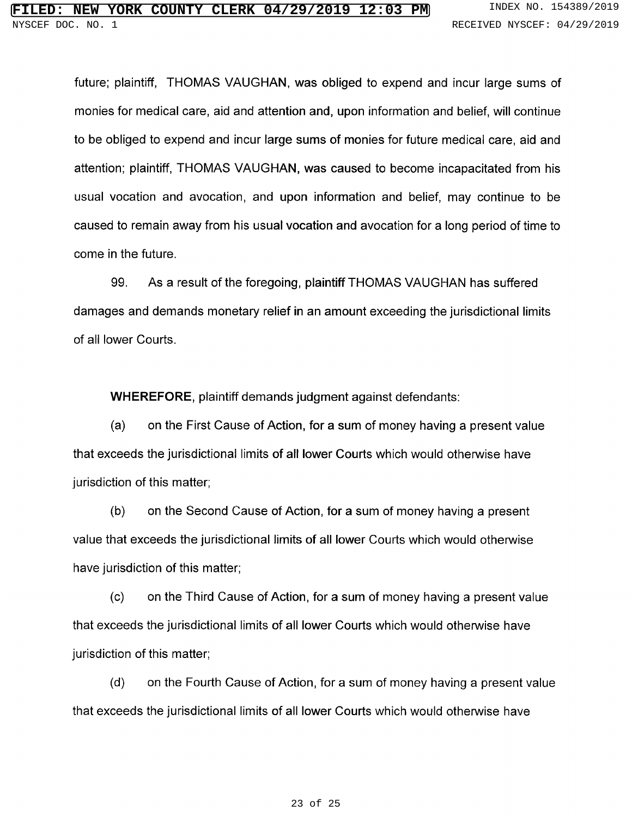future; plaintiff, THOMAS VAUGHAN, was obliged to expend and incur large sums of monies for medical care, aid and attention and, upon information and belief, will continue to be obliged to expend and incur large sums of monies for future medical care, aid and attention; plaintiff, THOMAS VAUGHAN, was caused to become incapacitated from his usual vocation and avocation, and upon information and belief, may continue to be caused to remain away from his usual vocation and avocation for a long period of time to come in the future.

99. As <sup>a</sup> result of the foregoing, plaintiff THOMAS VAUGHAN has suffered damages and demands monetary relief in an amount exceeding the jurisdictional limits of all lower Courts.

WHEREFORE, plaintiff demands judgment against defendants:

(a) on the First Cause of Action, for <sup>a</sup> sum of money having <sup>a</sup> present value that exceeds the jurisdictional limits of all lower Courts which would otherwise have jurisdiction of this matter;

(b) on the Second Cause of Action, for <sup>a</sup> sum of money having <sup>a</sup> present value that exceeds the jurisdictional limits of all lower Courts which would otherwise have jurisdiction of this matter;

(c) on the Third Cause of Action, for <sup>a</sup> sum of money having <sup>a</sup> present value that exceeds the jurisdictional limits of all lower Courts which would otherwise have jurisdiction of this matter;

(d) on the Fourth Cause of Action, for <sup>a</sup> sum of money having <sup>a</sup> present value that exceeds the jurisdictional limits of all lower Courts which would otherwise have

#### 23 of 25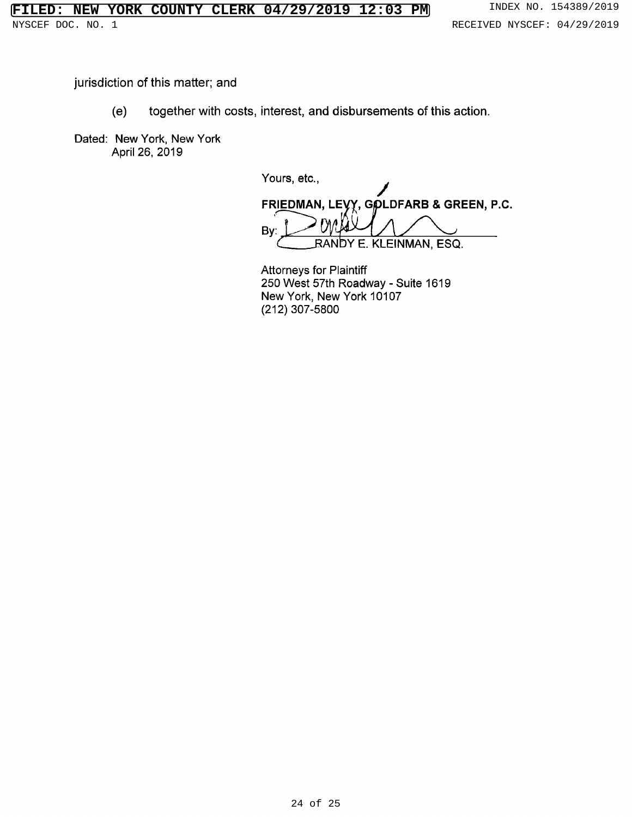jurisdiction of this matter; and

(e) together with costs, interest, and disbursements of this action.

Dated: New York, New York April 26, 2019

Yours, etc., FRIEDMAN, LEYY, GOLDFARB & GREEN, P.C. By: RANbY E. KLEINMAN, ESQ.

Attorneys for Plaintiff <sup>250</sup> West 57th Roadway - Suite <sup>1619</sup> New York, New York 10107 (212) 307-5800